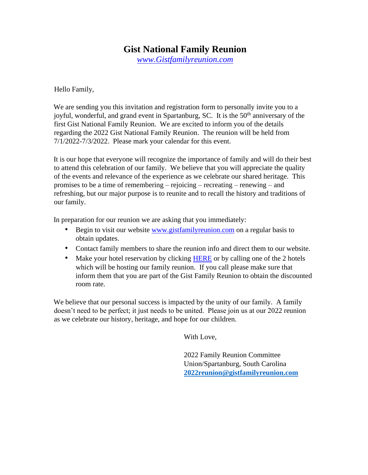### **Gist National Family Reunion**

*[www.Gistfamilyreunion.com](http://www.gistfamilyreunion.com/)*

Hello Family,

We are sending you this invitation and registration form to personally invite you to a joyful, wonderful, and grand event in Spartanburg, SC. It is the  $50<sup>th</sup>$  anniversary of the first Gist National Family Reunion. We are excited to inform you of the details regarding the 2022 Gist National Family Reunion. The reunion will be held from 7/1/2022-7/3/2022. Please mark your calendar for this event.

It is our hope that everyone will recognize the importance of family and will do their best to attend this celebration of our family. We believe that you will appreciate the quality of the events and relevance of the experience as we celebrate our shared heritage. This promises to be a time of remembering – rejoicing – recreating – renewing – and refreshing, but our major purpose is to reunite and to recall the history and traditions of our family.

In preparation for our reunion we are asking that you immediately:

- Begin to visit our website [www.gistfamilyreunion.com](http://www.gistfamilyreunion.com/) [o](http://www.gistfamilyreunion.com/)n a regular basis to obtain updates.
- Contact family members to share the reunion info and direct them to our website.
- Make your hotel reservation by clicking [HERE](https://gistfamilyreunion.com/5/accommodations.htm) or by calling one of the 2 hotels which will be hosting our family reunion. If you call please make sure that inform them that you are part of the Gist Family Reunion to obtain the discounted room rate.

We believe that our personal success is impacted by the unity of our family. A family doesn't need to be perfect; it just needs to be united. Please join us at our 2022 reunion as we celebrate our history, heritage, and hope for our children.

With Love,

 2022 Family Reunion Committee Union/Spartanburg, South Carolina  **[2022reunion@gistfamilyreunion.com](mailto:2022reunion@gistfamilyreunion.com)**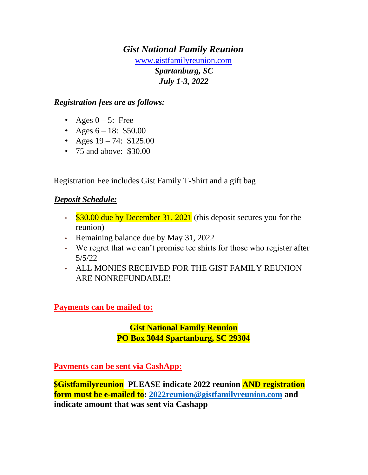# *Gist National Family Reunion* [www.gistfamilyreunion.com](http://www.gistfamilyreunion.com/) *Spartanburg, SC July 1-3, 2022*

#### *Registration fees are as follows:*

- Ages  $0 5$ : Free
- Ages  $6 18: $50.00$
- Ages  $19 74$ : \$125.00
- 75 and above: \$30.00

Registration Fee includes Gist Family T-Shirt and a gift bag

#### *Deposit Schedule:*

- $\cdot$  \$30.00 due by December 31, 2021 (this deposit secures you for the reunion)
- Remaining balance due by May 31, 2022
- We regret that we can't promise tee shirts for those who register after 5/5/22
- ALL MONIES RECEIVED FOR THE GIST FAMILY REUNION ARE NONREFUNDABLE!

**Payments can be mailed to:** 

**Gist National Family Reunion PO Box 3044 Spartanburg, SC 29304**

**Payments can be sent via CashApp:**

**\$Gistfamilyreunion PLEASE indicate 2022 reunion AND registration form must be e-mailed to: [2022reunion@gistfamilyreunion.com](mailto:2022reunion@gistfamilyreunion.com) and indicate amount that was sent via Cashapp**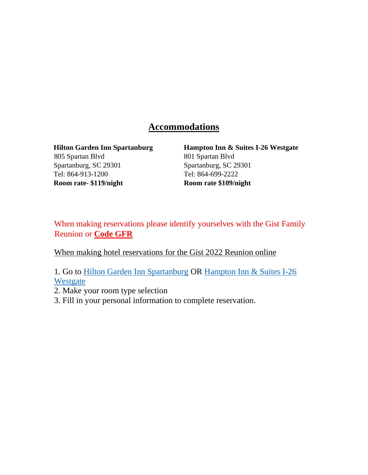## **Accommodations**

805 Spartan Blvd 801 Spartan Blvd Spartanburg, SC 29301 Spartanburg, SC 29301 Tel: 864-913-1200 Tel: 864-699-2222 **Room rate- \$119/night Room rate \$109/night**

**Hilton Garden Inn Spartanburg Hampton Inn & Suites I-26 Westgate**

When making reservations please identify yourselves with the Gist Family Reunion or **Code GFR**

When making hotel reservations for the Gist 2022 Reunion online

1. Go to [Hilton Garden Inn Spartanburg](https://www.hilton.com/en/book/reservation/deeplink/?ctyhocn=GSPSPGI&groupCode=GFR&arrivaldate=2022-07-01&departuredate=2022-07-03&cid=OM,WW,HILTONLINK,EN,DirectLink&fromId=HILTONLINKDIRECT) OR [Hampton Inn & Suites I-26](https://www.hilton.com/en/book/reservation/deeplink/?ctyhocn=SPAHSHX&groupCode=CHHGFR&arrivaldate=2022-07-01&departuredate=2022-07-03&cid=OM,WW,HILTONLINK,EN,DirectLink&fromId=HILTONLINKDIRECT)  [Westgate](https://www.hilton.com/en/book/reservation/deeplink/?ctyhocn=SPAHSHX&groupCode=CHHGFR&arrivaldate=2022-07-01&departuredate=2022-07-03&cid=OM,WW,HILTONLINK,EN,DirectLink&fromId=HILTONLINKDIRECT)

- 2. Make your room type selection
- 3. Fill in your personal information to complete reservation.